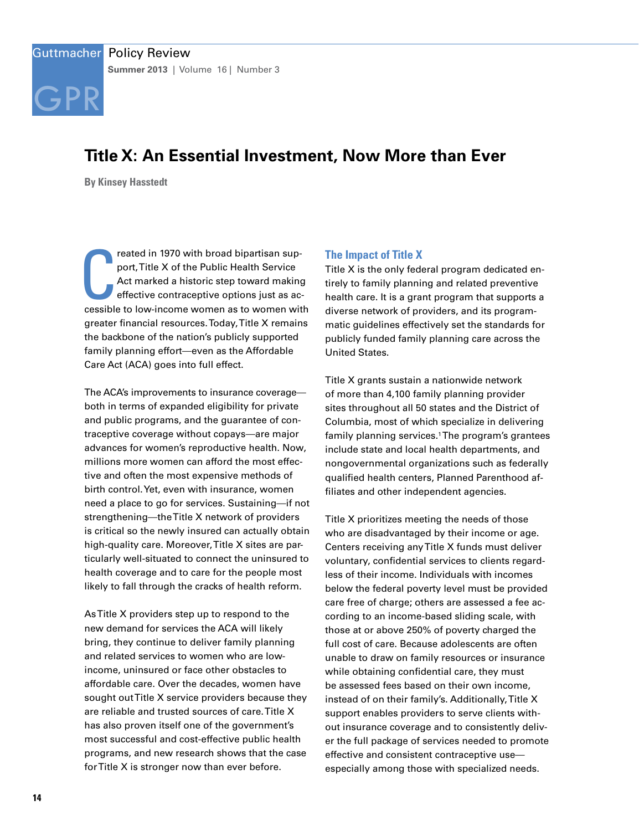

## Guttmacher Policy Review **Summer 2013** | Volume 16 | Number 3

# **Title X: An Essential Investment, Now More than Ever**

**By Kinsey Hasstedt**

reated in 1970 with broad bipartisan sup-<br>port, Title X of the Public Health Service<br>Act marked a historic step toward making<br>effective contraceptive options just as ac-<br>cessible to low-income women as to women with reated in 1970 with broad bipartisan support, Title X of the Public Health Service Act marked a historic step toward making effective contraceptive options just as acgreater financial resources. Today, Title X remains the backbone of the nation's publicly supported family planning effort—even as the Affordable Care Act (ACA) goes into full effect.

The ACA's improvements to insurance coverage both in terms of expanded eligibility for private and public programs, and the guarantee of contraceptive coverage without copays—are major advances for women's reproductive health. Now, millions more women can afford the most effective and often the most expensive methods of birth control. Yet, even with insurance, women need a place to go for services. Sustaining—if not strengthening—the Title X network of providers is critical so the newly insured can actually obtain high-quality care. Moreover, Title X sites are particularly well-situated to connect the uninsured to health coverage and to care for the people most likely to fall through the cracks of health reform.

As Title X providers step up to respond to the new demand for services the ACA will likely bring, they continue to deliver family planning and related services to women who are lowincome, uninsured or face other obstacles to affordable care. Over the decades, women have sought out Title X service providers because they are reliable and trusted sources of care. Title X has also proven itself one of the government's most successful and cost-effective public health programs, and new research shows that the case for Title X is stronger now than ever before.

#### **The Impact of Title X**

Title X is the only federal program dedicated entirely to family planning and related preventive health care. It is a grant program that supports a diverse network of providers, and its programmatic guidelines effectively set the standards for publicly funded family planning care across the United States.

Title X grants sustain a nationwide network of more than 4,100 family planning provider sites throughout all 50 states and the District of Columbia, most of which specialize in delivering family planning services.<sup>1</sup>The program's grantees include state and local health departments, and nongovernmental organizations such as federally qualified health centers, Planned Parenthood affiliates and other independent agencies.

Title X prioritizes meeting the needs of those who are disadvantaged by their income or age. Centers receiving any Title X funds must deliver voluntary, confidential services to clients regardless of their income. Individuals with incomes below the federal poverty level must be provided care free of charge; others are assessed a fee according to an income-based sliding scale, with those at or above 250% of poverty charged the full cost of care. Because adolescents are often unable to draw on family resources or insurance while obtaining confidential care, they must be assessed fees based on their own income, instead of on their family's. Additionally, Title X support enables providers to serve clients without insurance coverage and to consistently deliver the full package of services needed to promote effective and consistent contraceptive use especially among those with specialized needs.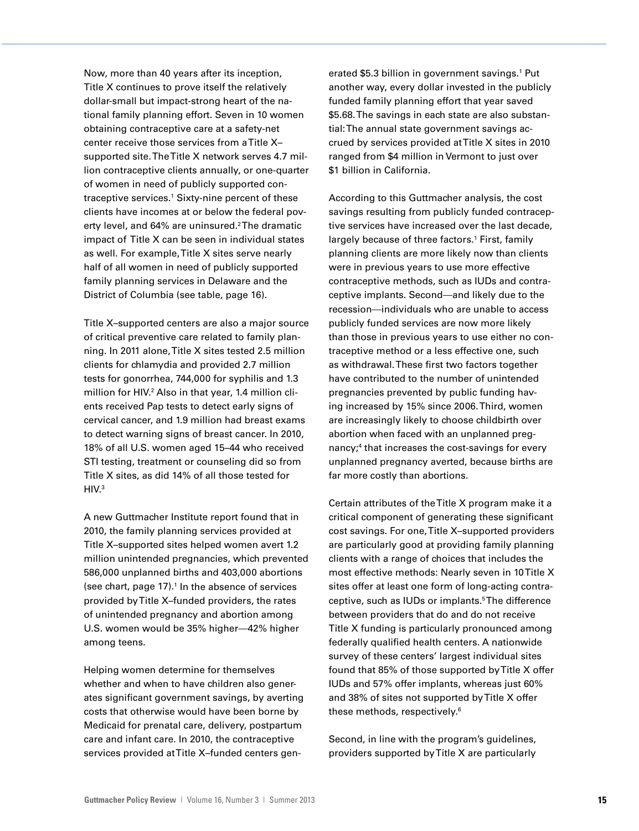Now, more than 40 years after its inception, Title X continues to prove itself the relatively dollar-small but impact-strong heart of the national family planning effort. Seven in 10 women obtaining contraceptive care at a safety-net center receive those services from a Title X– supported site. The Title X network serves 4.7 million contraceptive clients annually, or one-quarter of women in need of publicly supported contraceptive services.1 Sixty-nine percent of these clients have incomes at or below the federal poverty level, and 64% are uninsured.<sup>2</sup>The dramatic impact of Title X can be seen in individual states as well. For example, Title X sites serve nearly half of all women in need of publicly supported family planning services in Delaware and the District of Columbia (see table, page 16).

Title X–supported centers are also a major source of critical preventive care related to family planning. In 2011 alone, Title X sites tested 2.5 million clients for chlamydia and provided 2.7 million tests for gonorrhea, 744,000 for syphilis and 1.3 million for HIV.2 Also in that year, 1.4 million clients received Pap tests to detect early signs of cervical cancer, and 1.9 million had breast exams to detect warning signs of breast cancer. In 2010, 18% of all U.S. women aged 15–44 who received STI testing, treatment or counseling did so from Title X sites, as did 14% of all those tested for  $HIV.<sup>3</sup>$ 

A new Guttmacher Institute report found that in 2010, the family planning services provided at Title X–supported sites helped women avert 1.2 million unintended pregnancies, which prevented 586,000 unplanned births and 403,000 abortions (see chart, page  $17$ ).<sup>1</sup> In the absence of services provided by Title X–funded providers, the rates of unintended pregnancy and abortion among U.S. women would be 35% higher—42% higher among teens.

Helping women determine for themselves whether and when to have children also generates significant government savings, by averting costs that otherwise would have been borne by Medicaid for prenatal care, delivery, postpartum care and infant care. In 2010, the contraceptive services provided at Title X–funded centers gen-

erated \$5.3 billion in government savings.<sup>1</sup> Put another way, every dollar invested in the publicly funded family planning effort that year saved \$5.68. The savings in each state are also substantial: The annual state government savings accrued by services provided at Title X sites in 2010 ranged from \$4 million in Vermont to just over \$1 billion in California.

According to this Guttmacher analysis, the cost savings resulting from publicly funded contraceptive services have increased over the last decade, largely because of three factors.<sup>1</sup> First, family planning clients are more likely now than clients were in previous years to use more effective contraceptive methods, such as IUDs and contraceptive implants. Second—and likely due to the recession—individuals who are unable to access publicly funded services are now more likely than those in previous years to use either no contraceptive method or a less effective one, such as withdrawal. These first two factors together have contributed to the number of unintended pregnancies prevented by public funding having increased by 15% since 2006. Third, women are increasingly likely to choose childbirth over abortion when faced with an unplanned pregnancy;<sup>4</sup> that increases the cost-savings for every unplanned pregnancy averted, because births are far more costly than abortions.

Certain attributes of the Title X program make it a critical component of generating these significant cost savings. For one, Title X–supported providers are particularly good at providing family planning clients with a range of choices that includes the most effective methods: Nearly seven in 10 Title X sites offer at least one form of long-acting contraceptive, such as IUDs or implants.<sup>5</sup>The difference between providers that do and do not receive Title X funding is particularly pronounced among federally qualified health centers. A nationwide survey of these centers' largest individual sites found that 85% of those supported by Title X offer IUDs and 57% offer implants, whereas just 60% and 38% of sites not supported by Title X offer these methods, respectively.6

Second, in line with the program's guidelines, providers supported by Title X are particularly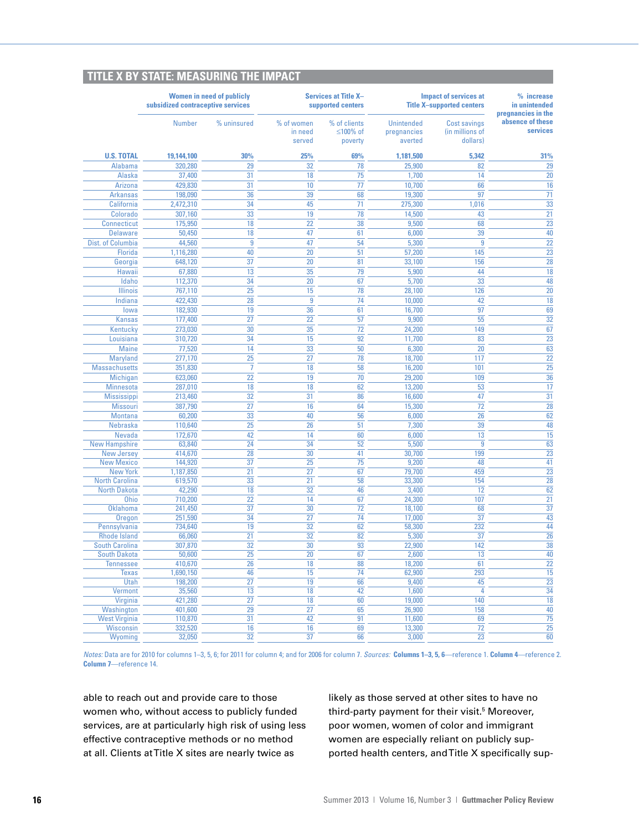|  | <b>TITLE X BY STATE: MEASURING THE IMPACT</b> |
|--|-----------------------------------------------|
|  |                                               |
|  |                                               |
|  |                                               |

|                                              | <b>Women in need of publicly</b><br>subsidized contraceptive services |                 | <b>Services at Title X-</b><br>supported centers |                                     | <b>Impact of services at</b><br><b>Title X-supported centers</b> |                                                    | % increase<br>in unintended                        |
|----------------------------------------------|-----------------------------------------------------------------------|-----------------|--------------------------------------------------|-------------------------------------|------------------------------------------------------------------|----------------------------------------------------|----------------------------------------------------|
|                                              | <b>Number</b>                                                         | % uninsured     | % of women<br>in need<br>served                  | % of clients<br>≤100% of<br>poverty | <b>Unintended</b><br>pregnancies<br>averted                      | <b>Cost savings</b><br>(in millions of<br>dollars) | pregnancies in the<br>absence of these<br>services |
| <b>U.S. TOTAL</b>                            | 19,144,100                                                            | 30%             | 25%                                              | 69%                                 | 1,181,500                                                        | 5.342                                              | 31%                                                |
| <b>Alabama</b>                               | 320,280                                                               | 29              | 32                                               | 78                                  | 25,900                                                           | 82                                                 | 29                                                 |
| Alaska                                       | 37,400                                                                | 31              | 18                                               | 75                                  | 1,700                                                            | 14                                                 | 20                                                 |
| <b>Arizona</b>                               | 429,830                                                               | 31              | 10                                               | 77                                  | 10,700                                                           | 66                                                 | 16                                                 |
| <b>Arkansas</b>                              | 198,090                                                               | 36              | 39                                               | 68                                  | 19,300                                                           | 97                                                 | 71                                                 |
| California                                   | 2,472,310                                                             | 34              | 45                                               | 71                                  | 275,300                                                          | 1,016                                              | $\overline{33}$                                    |
| Colorado                                     | 307,160                                                               | 33              | 19                                               | 78                                  | 14,500                                                           | 43                                                 | 21                                                 |
| <b>Connecticut</b>                           | 175,950                                                               | 18              | 22                                               | 38                                  | 9,500                                                            | 68                                                 | $\overline{23}$                                    |
| <b>Delaware</b>                              | 50,450                                                                | $\overline{18}$ | 47                                               | 61                                  | 6,000                                                            | 39                                                 | 40                                                 |
| Dist. of Columbia                            | 44,560                                                                | 9               | 47                                               | 54                                  | 5,300                                                            | 9                                                  | 22                                                 |
| Florida                                      | 1,116,280                                                             | 40              | 20                                               | 51                                  | 57,200                                                           | 145                                                | 23                                                 |
| Georgia                                      | 648,120                                                               | $\overline{37}$ | 20                                               | 81                                  | 33,100                                                           | 156                                                | $\overline{28}$                                    |
| Hawaii                                       | 67,880                                                                | 13              | 35                                               | 79                                  | 5,900                                                            | 44                                                 | 18                                                 |
| Idaho                                        | 112,370                                                               | $\overline{34}$ | 20                                               | 67                                  | 5,700                                                            | 33                                                 | 48                                                 |
| <b>Illinois</b>                              | 767,110                                                               | 25              | 15                                               | 78                                  | 28,100                                                           | 126                                                | 20                                                 |
| Indiana                                      | 422,430                                                               | 28              | 9                                                | 74                                  | 10,000                                                           | 42                                                 | 18                                                 |
| lowa                                         | 182,930                                                               | 19              | 36                                               | 61                                  | 16,700                                                           | 97                                                 | 69                                                 |
| <b>Kansas</b>                                | 177,400                                                               | 27              | 22                                               | 57                                  | 9,900                                                            | 55                                                 | 32                                                 |
| Kentucky                                     | 273,030                                                               | $\overline{30}$ | 35                                               | 72                                  | 24,200                                                           | 149                                                | 67                                                 |
| Louisiana                                    | 310,720                                                               | $\overline{34}$ | 15                                               | 92                                  | 11,700                                                           | 83                                                 | $\overline{23}$                                    |
| <b>Maine</b>                                 | 77,520                                                                | 14              | 33                                               | 50                                  | 6,300                                                            | 20                                                 | 63                                                 |
| Maryland                                     | 277,170                                                               | 25              | 27                                               | 78                                  | 18,700                                                           | 117                                                | 22                                                 |
| <b>Massachusetts</b>                         | 351,830                                                               | $\overline{7}$  | 18                                               | 58                                  | 16,200                                                           | 101                                                | 25                                                 |
| Michigan                                     | 623,060                                                               | 22              | 19                                               | 70                                  | 29,200                                                           | 109                                                | 36                                                 |
| <b>Minnesota</b>                             | 287,010                                                               | 18              | 18                                               | 62                                  | 13,200                                                           | 53                                                 | 17                                                 |
| <b>Mississippi</b>                           | 213,460                                                               | 32              | $\overline{31}$                                  | 86                                  | 16,600                                                           | 47                                                 | 31                                                 |
| <b>Missouri</b>                              | 387,790                                                               | 27              | 16                                               | 64                                  | 15,300                                                           | 72                                                 | 28                                                 |
| <b>Montana</b>                               | 60,200                                                                | 33              | 40                                               | 56                                  | 6,000                                                            | 26                                                 | 62                                                 |
| Nebraska                                     | 110,640                                                               | 25              | 26                                               | 51                                  | 7,300                                                            | 39                                                 | 48                                                 |
| <b>Nevada</b>                                | 172,670                                                               | $\overline{42}$ | 14                                               | 60                                  | 6,000                                                            | 13                                                 | 15                                                 |
| <b>New Hampshire</b>                         | 63,840                                                                | $\overline{24}$ | $\overline{34}$                                  | $\overline{52}$                     | 5,500                                                            | $\overline{9}$                                     | $\overline{63}$                                    |
| <b>New Jersey</b>                            | 414,670                                                               | $\overline{28}$ | 30                                               | 41                                  | 30,700                                                           | 199                                                | $\overline{23}$                                    |
| <b>New Mexico</b>                            | 144,920                                                               | 37              | 25                                               | $\overline{75}$                     | 9,200                                                            | 48                                                 | 41                                                 |
| <b>New York</b>                              | 1,187,850                                                             | $\overline{21}$ | $\overline{27}$                                  | 67                                  | 79,700                                                           | 459                                                | 23                                                 |
| <b>North Carolina</b><br><b>North Dakota</b> | 619,570<br>42,290                                                     | 33<br>18        | $\overline{21}$<br>32                            | 58<br>46                            | 33,300                                                           | 154<br>12                                          | 28<br>62                                           |
| <b>Ohio</b>                                  | 710,200                                                               | $\overline{22}$ | 14                                               | 67                                  | 3,400<br>24,300                                                  | 107                                                | $\overline{21}$                                    |
| <b>Oklahoma</b>                              | 241,450                                                               | 37              | 30                                               | 72                                  | 18,100                                                           | 68                                                 | 37                                                 |
| Oregon                                       | 251,590                                                               | 34              | 27                                               | 74                                  | 17,000                                                           | 37                                                 | 43                                                 |
| Pennsylvania                                 | 734,640                                                               | 19              | 32                                               | 62                                  | 58,300                                                           | 232                                                | 44                                                 |
| <b>Rhode Island</b>                          | 66,060                                                                | $\overline{21}$ | 32                                               | 82                                  | 5,300                                                            | 37                                                 | 26                                                 |
| <b>South Carolina</b>                        | 307,870                                                               | 32              | 30                                               | 93                                  | 22,900                                                           | 142                                                | 38                                                 |
| <b>South Dakota</b>                          | 50,600                                                                | 25              | 20                                               | 67                                  | 2,600                                                            | 13                                                 | 40                                                 |
| <b>Tennessee</b>                             | 410,670                                                               | 26              | 18                                               | 88                                  | 18,200                                                           | 61                                                 | 22                                                 |
| <b>Texas</b>                                 | 1,690,150                                                             | 46              | 15                                               | 74                                  | 62,900                                                           | 293                                                | $\overline{15}$                                    |
| Utah                                         | 198,200                                                               | $\overline{27}$ | 19                                               | 66                                  | 9,400                                                            | 45                                                 | $\overline{23}$                                    |
| <b>Vermont</b>                               | 35,560                                                                | 13              | 18                                               | 42                                  | 1,600                                                            | 4                                                  | 34                                                 |
| Virginia                                     | 421,280                                                               | $\overline{27}$ | 18                                               | 60                                  | 19,000                                                           | 140                                                | 18                                                 |
| <b>Washington</b>                            | 401,600                                                               | 29              | 27                                               | 65                                  | 26,900                                                           | 158                                                | 40                                                 |
| <b>West Virginia</b>                         | 110,870                                                               | $\overline{31}$ | 42                                               | 91                                  | 11,600                                                           | 69                                                 | $\overline{75}$                                    |
| <b>Wisconsin</b>                             | 332.520                                                               | 16              | 16                                               | 69                                  | 13.300                                                           | $\overline{72}$                                    | $\overline{25}$                                    |
| Wyoming                                      | 32,050                                                                | $\overline{32}$ | $\overline{37}$                                  | 66                                  | 3,000                                                            | 23                                                 | 60                                                 |

*Notes:* Data are for 2010 for columns 1–3, 5, 6; for 2011 for column 4; and for 2006 for column 7. *Sources:* **Columns 1–3, 5, 6**—reference 1. **Column 4**—reference 2. **Column 7**—reference 14.

able to reach out and provide care to those women who, without access to publicly funded services, are at particularly high risk of using less effective contraceptive methods or no method at all. Clients at Title X sites are nearly twice as

likely as those served at other sites to have no third-party payment for their visit.<sup>5</sup> Moreover, poor women, women of color and immigrant women are especially reliant on publicly supported health centers, and Title X specifically sup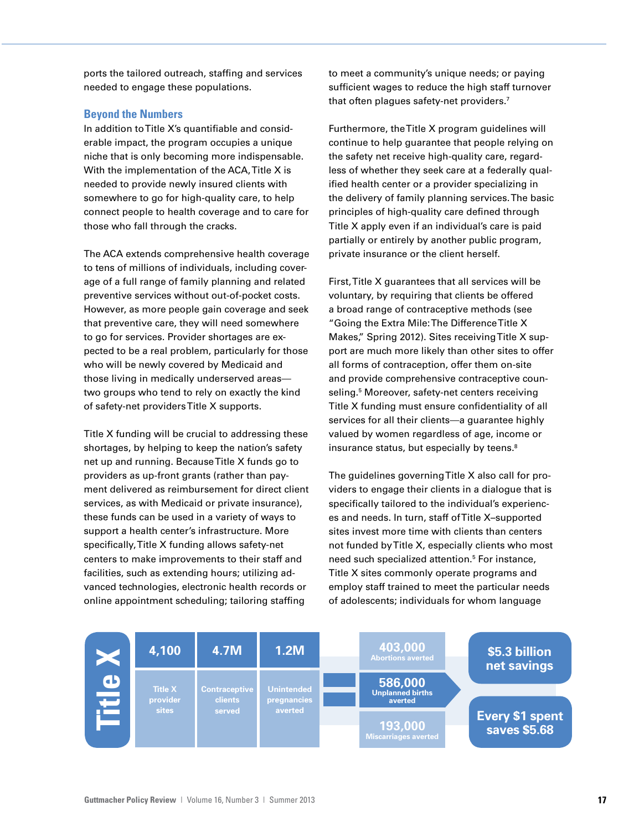ports the tailored outreach, staffing and services needed to engage these populations.

### **Beyond the Numbers**

In addition to Title X's quantifiable and considerable impact, the program occupies a unique niche that is only becoming more indispensable. With the implementation of the ACA, Title X is needed to provide newly insured clients with somewhere to go for high-quality care, to help connect people to health coverage and to care for those who fall through the cracks.

The ACA extends comprehensive health coverage to tens of millions of individuals, including coverage of a full range of family planning and related preventive services without out-of-pocket costs. However, as more people gain coverage and seek that preventive care, they will need somewhere to go for services. Provider shortages are expected to be a real problem, particularly for those who will be newly covered by Medicaid and those living in medically underserved areas two groups who tend to rely on exactly the kind of safety-net providers Title X supports.

Title X funding will be crucial to addressing these shortages, by helping to keep the nation's safety net up and running. Because Title X funds go to providers as up-front grants (rather than payment delivered as reimbursement for direct client services, as with Medicaid or private insurance), these funds can be used in a variety of ways to support a health center's infrastructure. More specifically, Title X funding allows safety-net centers to make improvements to their staff and facilities, such as extending hours; utilizing advanced technologies, electronic health records or online appointment scheduling; tailoring staffing

to meet a community's unique needs; or paying sufficient wages to reduce the high staff turnover that often plagues safety-net providers.<sup>7</sup>

Furthermore, the Title X program guidelines will continue to help guarantee that people relying on the safety net receive high-quality care, regardless of whether they seek care at a federally qualified health center or a provider specializing in the delivery of family planning services. The basic principles of high-quality care defined through Title X apply even if an individual's care is paid partially or entirely by another public program, private insurance or the client herself.

First, Title X guarantees that all services will be voluntary, by requiring that clients be offered a broad range of contraceptive methods (see "Going the Extra Mile: The Difference Title X Makes," Spring 2012). Sites receiving Title X support are much more likely than other sites to offer all forms of contraception, offer them on-site and provide comprehensive contraceptive counseling.<sup>5</sup> Moreover, safety-net centers receiving Title X funding must ensure confidentiality of all services for all their clients—a guarantee highly valued by women regardless of age, income or insurance status, but especially by teens.<sup>8</sup>

The guidelines governing Title X also call for providers to engage their clients in a dialogue that is specifically tailored to the individual's experiences and needs. In turn, staff of Title X–supported sites invest more time with clients than centers not funded by Title X, especially clients who most need such specialized attention.<sup>5</sup> For instance, Title X sites commonly operate programs and employ staff trained to meet the particular needs of adolescents; individuals for whom language

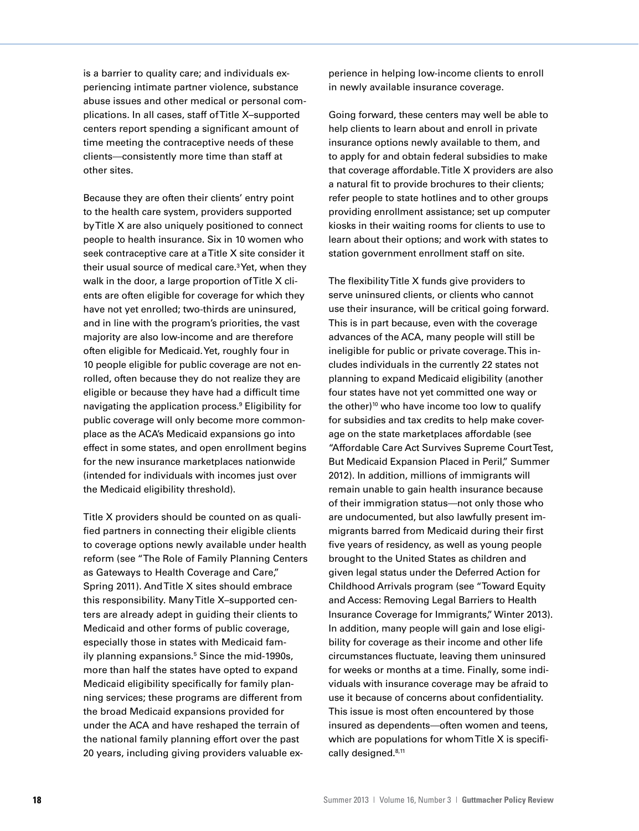is a barrier to quality care; and individuals experiencing intimate partner violence, substance abuse issues and other medical or personal complications. In all cases, staff of Title X–supported centers report spending a significant amount of time meeting the contraceptive needs of these clients—consistently more time than staff at other sites.

Because they are often their clients' entry point to the health care system, providers supported by Title X are also uniquely positioned to connect people to health insurance. Six in 10 women who seek contraceptive care at a Title X site consider it their usual source of medical care.3 Yet, when they walk in the door, a large proportion of Title X clients are often eligible for coverage for which they have not yet enrolled; two-thirds are uninsured, and in line with the program's priorities, the vast majority are also low-income and are therefore often eligible for Medicaid. Yet, roughly four in 10 people eligible for public coverage are not enrolled, often because they do not realize they are eligible or because they have had a difficult time navigating the application process.9 Eligibility for public coverage will only become more commonplace as the ACA's Medicaid expansions go into effect in some states, and open enrollment begins for the new insurance marketplaces nationwide (intended for individuals with incomes just over the Medicaid eligibility threshold).

Title X providers should be counted on as qualified partners in connecting their eligible clients to coverage options newly available under health reform (see "The Role of Family Planning Centers as Gateways to Health Coverage and Care," Spring 2011). And Title X sites should embrace this responsibility. Many Title X–supported centers are already adept in guiding their clients to Medicaid and other forms of public coverage, especially those in states with Medicaid family planning expansions.<sup>5</sup> Since the mid-1990s, more than half the states have opted to expand Medicaid eligibility specifically for family planning services; these programs are different from the broad Medicaid expansions provided for under the ACA and have reshaped the terrain of the national family planning effort over the past 20 years, including giving providers valuable experience in helping low-income clients to enroll in newly available insurance coverage.

Going forward, these centers may well be able to help clients to learn about and enroll in private insurance options newly available to them, and to apply for and obtain federal subsidies to make that coverage affordable. Title X providers are also a natural fit to provide brochures to their clients; refer people to state hotlines and to other groups providing enrollment assistance; set up computer kiosks in their waiting rooms for clients to use to learn about their options; and work with states to station government enrollment staff on site.

The flexibility Title X funds give providers to serve uninsured clients, or clients who cannot use their insurance, will be critical going forward. This is in part because, even with the coverage advances of the ACA, many people will still be ineligible for public or private coverage. This includes individuals in the currently 22 states not planning to expand Medicaid eligibility (another four states have not yet committed one way or the other)<sup>10</sup> who have income too low to qualify for subsidies and tax credits to help make coverage on the state marketplaces affordable (see "Affordable Care Act Survives Supreme Court Test, But Medicaid Expansion Placed in Peril," Summer 2012). In addition, millions of immigrants will remain unable to gain health insurance because of their immigration status—not only those who are undocumented, but also lawfully present immigrants barred from Medicaid during their first five years of residency, as well as young people brought to the United States as children and given legal status under the Deferred Action for Childhood Arrivals program (see "Toward Equity and Access: Removing Legal Barriers to Health Insurance Coverage for Immigrants," Winter 2013). In addition, many people will gain and lose eligibility for coverage as their income and other life circumstances fluctuate, leaving them uninsured for weeks or months at a time. Finally, some individuals with insurance coverage may be afraid to use it because of concerns about confidentiality. This issue is most often encountered by those insured as dependents—often women and teens, which are populations for whom Title X is specifically designed.<sup>8,11</sup>